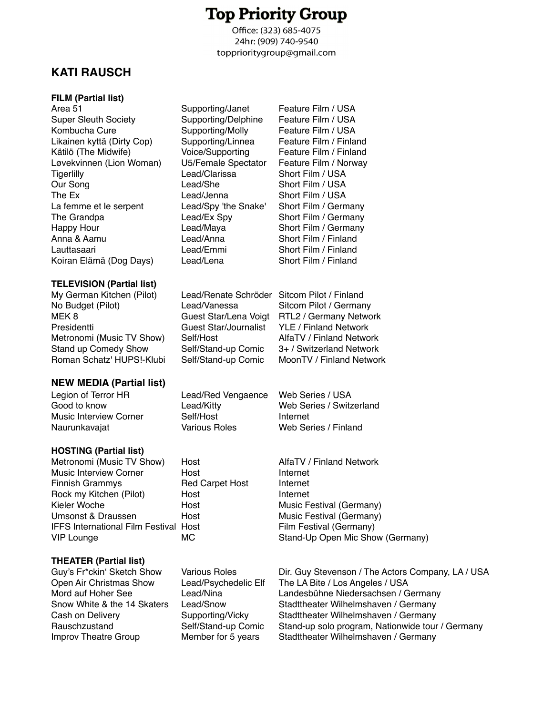# **Top Priority Group**

Office: (323) 685-4075 24hr: (909) 740-9540 topprioritygroup@gmail.com

# **KATI RAUSCH! !**

### **FILM (Partial list)**

Area 51 **Supporting/Janet** Feature Film / USA Super Sleuth Society **Supporting/Delphine** Feature Film / USA Kombucha Cure **Supporting/Molly** Feature Film / USA Likainen kyttä (Dirty Cop) Supporting/Linnea Feature Film / Finland Kätilö (The Midwife)! ! Voice/Supporting Feature Film / Finland Løvekvinnen (Lion Woman) U5/Female Spectator<br>Tigerlilly Manuel Lead/Clarissa Tigerlilly! ! ! Lead/Clarissa! ! Short Film / USA Our Song **1988** Lead/She **Short Film / USA** The Ex **1. I Exam Lead/Jenna** 1. Short Film / USA La femme et le serpent Lead/Spy 'the Snake' Short Film / Germany The Grandpa! ! ! Lead/Ex Spy ! ! Short Film / Germany Happy Hour **1988** Lead/Maya **1988** Short Film / Germany Anna & Aamu! ! ! Lead/Anna! ! Short Film / Finland Lauttasaari! ! ! Lead/Emmi! ! Short Film / Finland Koiran Elämä (Dog Days) Lead/Lena! ! Short Film / Finland

# **TELEVISION (Partial list)**

| My German Kitchen (Pilot)   |
|-----------------------------|
| No Budget (Pilot)           |
| MEK 8                       |
| Presidentti                 |
| Metronomi (Music TV Show)   |
| <b>Stand up Comedy Show</b> |
| Roman Schatz' HUPS!-Klubi   |
|                             |

# **NEW MEDIA (Partial list)**

Legion of Terror HR Lead/Red Vengaence Web Series / USA Music Interview Corner 8elf/Host 1988 Internet<br>1991 Naurunkavaiat 1991 Various Roles 1996 Web Self

# **HOSTING (Partial list)**

Metronomi (Music TV Show) Host **AlfaTV** / Finland Network Music Interview Corner! ! Host! ! ! Internet Finnish Grammys **1988** Red Carpet Host Internet Rock my Kitchen (Pilot)!! Host! ! ! Internet Kieler Woche **1988 I Host** 2008 Host 2008 Music Festival (Germany) Umsonst & Draussen **1988** Host **1998** Host Music Festival (Germany) IFFS International Film Festival Host! ! ! Film Festival (Germany) VIP Lounge **1988 MC** 1988 Stand-Up Open Mic Show (Germany)

# **THEATER (Partial list)**

Guy's Fr\*ckin' Sketch Show Various Roles Dir. Guy Stevenson / The Actors Company, LA / USA<br>Open Air Christmas Show Lead/Psychedelic Elf The LA Bite / Los Angeles / USA Lead/Psychedelic Elf The LA Bite / Los Angeles / USA Mord auf Hoher See **1. Lead/Nina** 1. Landesbühne Niedersachsen / Germany Snow White & the 14 Skaters Lead/Snow! ! Stadttheater Wilhelmshaven / Germany Cash on Delivery **1988** Supporting/Vicky Stadttheater Wilhelmshaven / Germany Rauschzustand . . . . . . Self/Stand-up Comic Stand-up solo program, Nationwide tour / Germany Improv Theatre Group **8. Example 1. In Member for 5 years** Stadttheater Wilhelmshaven / Germany

Guest Star/Lena Voigt RTL2 / Germany Network<br>Guest Star/Journalist YLE / Finland Network **Guest Star/Journalist** Self/Host **AlfaTV / Finland Network** Self/Stand-up Comic 3+ / Switzerland Network

Lead/Renate Schröder Sitcom Pilot / Finland Lead/Vanessa Sitcom Pilot / Germany

Naurunkavajat **1. Interprettival Various Roles** Web Series / Finland

Self/Stand-up Comic MoonTV / Finland Network Good to know **Example 20** Lead/Kitty **Cool is a Web Series / Switzerland**